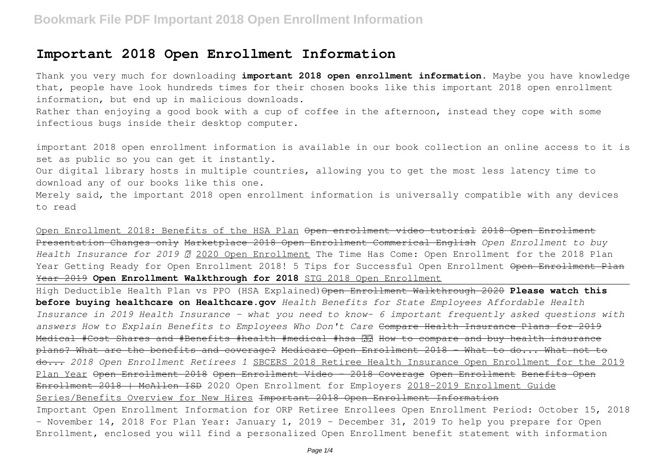# **Important 2018 Open Enrollment Information**

Thank you very much for downloading **important 2018 open enrollment information**. Maybe you have knowledge that, people have look hundreds times for their chosen books like this important 2018 open enrollment information, but end up in malicious downloads.

Rather than enjoying a good book with a cup of coffee in the afternoon, instead they cope with some infectious bugs inside their desktop computer.

important 2018 open enrollment information is available in our book collection an online access to it is set as public so you can get it instantly.

Our digital library hosts in multiple countries, allowing you to get the most less latency time to download any of our books like this one.

Merely said, the important 2018 open enrollment information is universally compatible with any devices to read

Open Enrollment 2018: Benefits of the HSA Plan Open enrollment video tutorial 2018 Open Enrollment Presentation Changes only Marketplace 2018 Open Enrollment Commerical English *Open Enrollment to buy Health Insurance for 2019 ✅* 2020 Open Enrollment The Time Has Come: Open Enrollment for the 2018 Plan Year Getting Ready for Open Enrollment 2018! 5 Tips for Successful Open Enrollment Open Enrollment Plan Year 2019 **Open Enrollment Walkthrough for 2018** STG 2018 Open Enrollment

High Deductible Health Plan vs PPO (HSA Explained) Open Enrollment Walkthrough 2020 Please watch this **before buying healthcare on Healthcare.gov** *Health Benefits for State Employees Affordable Health Insurance in 2019 Health Insurance - what you need to know- 6 important frequently asked questions with answers How to Explain Benefits to Employees Who Don't Care* Compare Health Insurance Plans for 2019 Medical #Cost Shares and #Benefits #health #medical #hsa and How to compare and buy health insurance plans? What are the benefits and coverage? Medicare Open Enrollment 2018 - What to do... What not to do... *2018 Open Enrollment Retirees 1* SBCERS 2018 Retiree Health Insurance Open Enrollment for the 2019 Plan Year Open Enrollment 2018 Open Enrollment Video - 2018 Coverage Open Enrollment Benefits Open Enrollment 2018 | McAllen ISD 2020 Open Enrollment for Employers 2018-2019 Enrollment Guide Series/Benefits Overview for New Hires Important 2018 Open Enrollment Information Important Open Enrollment Information for ORP Retiree Enrollees Open Enrollment Period: October 15, 2018 – November 14, 2018 For Plan Year: January 1, 2019 – December 31, 2019 To help you prepare for Open Enrollment, enclosed you will find a personalized Open Enrollment benefit statement with information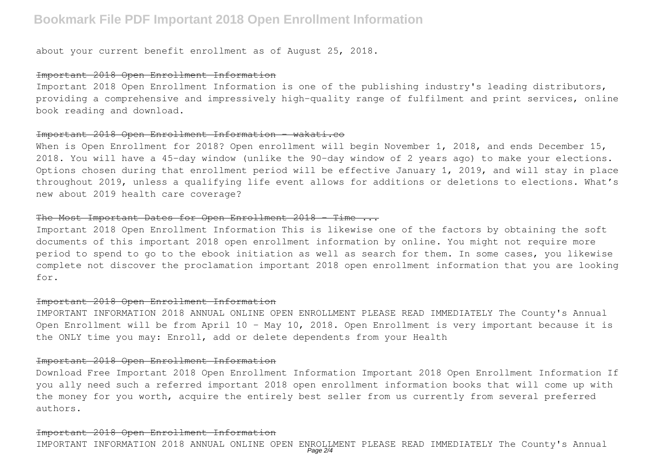about your current benefit enrollment as of August 25, 2018.

#### Important 2018 Open Enrollment Information

Important 2018 Open Enrollment Information is one of the publishing industry's leading distributors, providing a comprehensive and impressively high-quality range of fulfilment and print services, online book reading and download.

## Important 2018 Open Enrollment Information - wakati.co

When is Open Enrollment for 2018? Open enrollment will begin November 1, 2018, and ends December 15, 2018. You will have a 45-day window (unlike the 90-day window of 2 years ago) to make your elections. Options chosen during that enrollment period will be effective January 1, 2019, and will stay in place throughout 2019, unless a qualifying life event allows for additions or deletions to elections. What's new about 2019 health care coverage?

#### The Most Important Dates for Open Enrollment 2018 - Time ...

Important 2018 Open Enrollment Information This is likewise one of the factors by obtaining the soft documents of this important 2018 open enrollment information by online. You might not require more period to spend to go to the ebook initiation as well as search for them. In some cases, you likewise complete not discover the proclamation important 2018 open enrollment information that you are looking for.

### Important 2018 Open Enrollment Information

IMPORTANT INFORMATION 2018 ANNUAL ONLINE OPEN ENROLLMENT PLEASE READ IMMEDIATELY The County's Annual Open Enrollment will be from April 10 – May 10, 2018. Open Enrollment is very important because it is the ONLY time you may: Enroll, add or delete dependents from your Health

### Important 2018 Open Enrollment Information

Download Free Important 2018 Open Enrollment Information Important 2018 Open Enrollment Information If you ally need such a referred important 2018 open enrollment information books that will come up with the money for you worth, acquire the entirely best seller from us currently from several preferred authors.

#### Important 2018 Open Enrollment Information

IMPORTANT INFORMATION 2018 ANNUAL ONLINE OPEN ENROLLMENT PLEASE READ IMMEDIATELY The County's Annual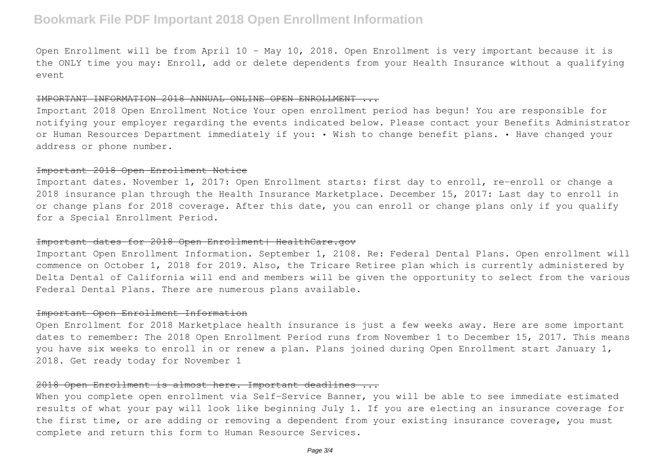# **Bookmark File PDF Important 2018 Open Enrollment Information**

Open Enrollment will be from April 10 – May 10, 2018. Open Enrollment is very important because it is the ONLY time you may: Enroll, add or delete dependents from your Health Insurance without a qualifying event

#### IMPORTANT INFORMATION 2018 ANNUAL ONLINE OPEN ENROLLMENT ...

Important 2018 Open Enrollment Notice Your open enrollment period has begun! You are responsible for notifying your employer regarding the events indicated below. Please contact your Benefits Administrator or Human Resources Department immediately if you: • Wish to change benefit plans. • Have changed your address or phone number.

### Important 2018 Open Enrollment Notice

Important dates. November 1, 2017: Open Enrollment starts: first day to enroll, re-enroll or change a 2018 insurance plan through the Health Insurance Marketplace. December 15, 2017: Last day to enroll in or change plans for 2018 coverage. After this date, you can enroll or change plans only if you qualify for a Special Enrollment Period.

#### Important dates for 2018 Open Enrollment| HealthCare.gov

Important Open Enrollment Information. September 1, 2108. Re: Federal Dental Plans. Open enrollment will commence on October 1, 2018 for 2019. Also, the Tricare Retiree plan which is currently administered by Delta Dental of California will end and members will be given the opportunity to select from the various Federal Dental Plans. There are numerous plans available.

#### Important Open Enrollment Information

Open Enrollment for 2018 Marketplace health insurance is just a few weeks away. Here are some important dates to remember: The 2018 Open Enrollment Period runs from November 1 to December 15, 2017. This means you have six weeks to enroll in or renew a plan. Plans joined during Open Enrollment start January 1, 2018. Get ready today for November 1

## 2018 Open Enrollment is almost here. Important deadlines ...

When you complete open enrollment via Self-Service Banner, you will be able to see immediate estimated results of what your pay will look like beginning July 1. If you are electing an insurance coverage for the first time, or are adding or removing a dependent from your existing insurance coverage, you must complete and return this form to Human Resource Services.